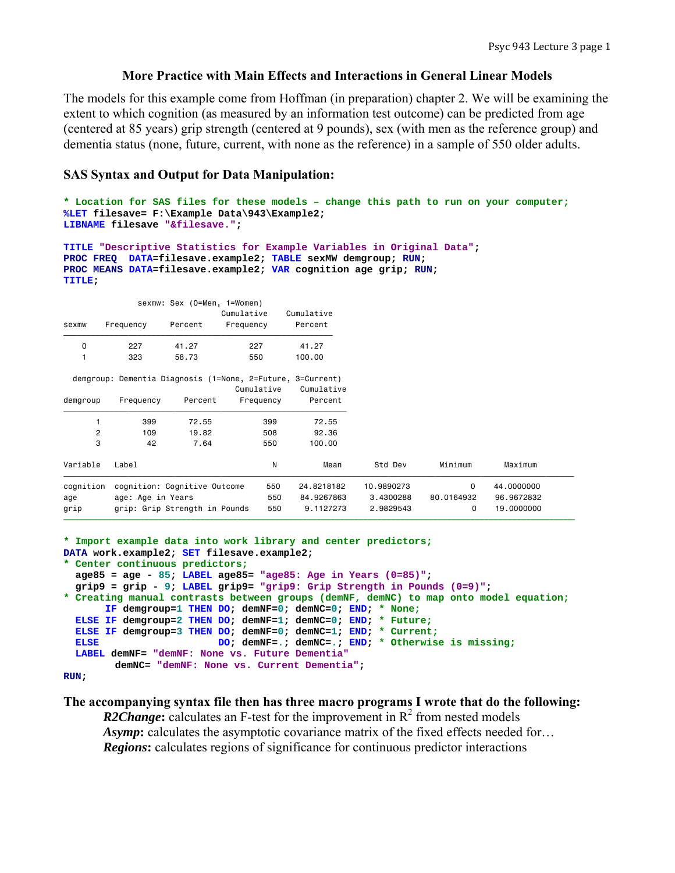## **More Practice with Main Effects and Interactions in General Linear Models**

The models for this example come from Hoffman (in preparation) chapter 2. We will be examining the extent to which cognition (as measured by an information test outcome) can be predicted from age (centered at 85 years) grip strength (centered at 9 pounds), sex (with men as the reference group) and dementia status (none, future, current, with none as the reference) in a sample of 550 older adults.

### **SAS Syntax and Output for Data Manipulation:**

```
* Location for SAS files for these models – change this path to run on your computer;
%LET filesave= F:\Example Data\943\Example2; 
LIBNAME filesave "&filesave.";
```

```
TITLE "Descriptive Statistics for Example Variables in Original Data"; 
PROC FREQ DATA=filesave.example2; TABLE sexMW demgroup; RUN; 
PROC MEANS DATA=filesave.example2; VAR cognition age grip; RUN; 
TITLE;
```

|           | Percent   | Cumulative<br>Frequency | Cumulative<br>Percent                                                                               |                                                                                                     |            |            |
|-----------|-----------|-------------------------|-----------------------------------------------------------------------------------------------------|-----------------------------------------------------------------------------------------------------|------------|------------|
| 227       | 41.27     | 227                     | 41.27                                                                                               |                                                                                                     |            |            |
| 323       | 58.73     | 550                     | 100.00                                                                                              |                                                                                                     |            |            |
|           |           |                         |                                                                                                     |                                                                                                     |            |            |
|           |           |                         | Cumulative                                                                                          |                                                                                                     |            |            |
| Frequency | Percent   |                         | Percent                                                                                             |                                                                                                     |            |            |
| 399       | 72.55     | 399                     | 72.55                                                                                               |                                                                                                     |            |            |
| 109       | 19.82     | 508                     | 92.36                                                                                               |                                                                                                     |            |            |
| 42        | 7.64      | 550                     | 100.00                                                                                              |                                                                                                     |            |            |
| Label     |           | N                       | Mean                                                                                                | Std Dev                                                                                             | Minimum    | Maximum    |
|           |           |                         | 24.8218182                                                                                          | 10.9890273                                                                                          | 0          | 44.0000000 |
|           |           |                         | 84.9267863                                                                                          | 3.4300288                                                                                           | 80,0164932 | 96.9672832 |
|           |           |                         | 9.1127273                                                                                           | 2.9829543                                                                                           | 0          | 19.0000000 |
| cognition | Frequency | age: Age in Years       | sexmw: Sex (O=Men, 1=Women)<br>cognition: Cognitive Outcome<br>550<br>grip: Grip Strength in Pounds | demgroup: Dementia Diagnosis (1=None, 2=Future, 3=Current)<br>Cumulative<br>Frequency<br>550<br>550 |            |            |

```
* Import example data into work library and center predictors;
DATA work.example2; SET filesave.example2; 
* Center continuous predictors;
  age85 = age - 85; LABEL age85= "age85: Age in Years (0=85)"; 
  grip9 = grip - 9; LABEL grip9= "grip9: Grip Strength in Pounds (0=9)"; 
* Creating manual contrasts between groups (demNF, demNC) to map onto model equation;
       IF demgroup=1 THEN DO; demNF=0; demNC=0; END; * None;
  ELSE IF demgroup=2 THEN DO; demNF=1; demNC=0; END; * Future;
  ELSE IF demgroup=3 THEN DO; demNF=0; demNC=1; END; * Current;
  ELSE DO; demNF=.; demNC=.; END; * Otherwise is missing; 
  LABEL demNF= "demNF: None vs. Future Dementia"
         demNC= "demNF: None vs. Current Dementia"; 
RUN;
```
#### **The accompanying syntax file then has three macro programs I wrote that do the following:**

**R2Change:** calculates an F-test for the improvement in  $R^2$  from nested models *Asymp*: calculates the asymptotic covariance matrix of the fixed effects needed for... *Regions***:** calculates regions of significance for continuous predictor interactions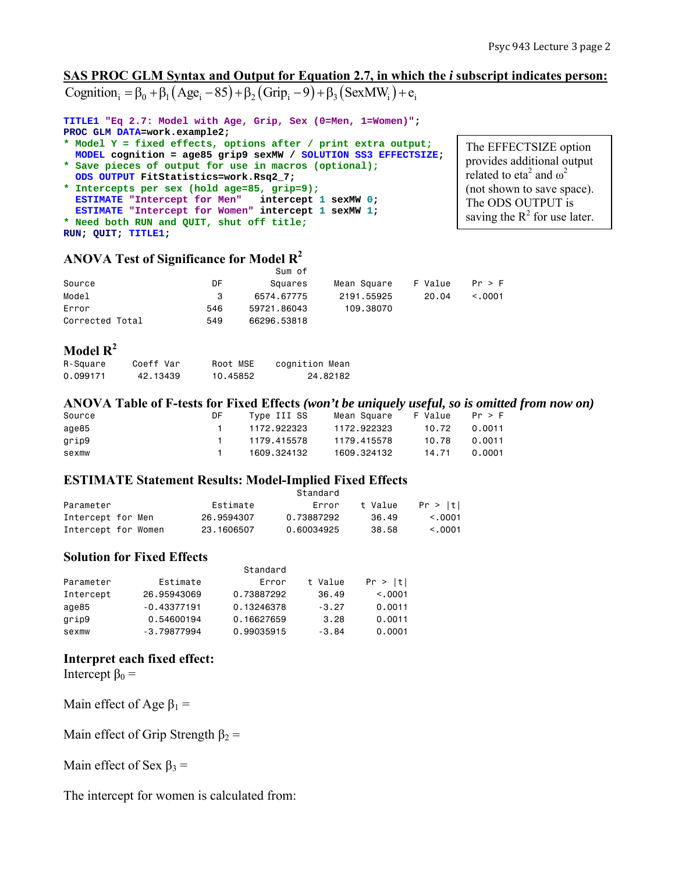The EFFECTSIZE option provides additional output related to eta<sup>2</sup> and  $\omega^2$ (not shown to save space). The ODS OUTPUT is saving the  $R^2$  for use later.

# **SAS PROC GLM Syntax and Output for Equation 2.7, in which the** *i* **subscript indicates person:** Cognition  $\beta_0 + \beta_1 (Age_i - 85) + \beta_2 (Grip_i - 9) + \beta_3 (SexMW_i) + e_i$

**TITLE1 "Eq 2.7: Model with Age, Grip, Sex (0=Men, 1=Women)"; PROC GLM DATA=work.example2;** 

- **\* Model Y = fixed effects, options after / print extra output; MODEL cognition = age85 grip9 sexMW / SOLUTION SS3 EFFECTSIZE;**
- **\* Save pieces of output for use in macros (optional);**
- **ODS OUTPUT FitStatistics=work.Rsq2\_7; \* Intercepts per sex (hold age=85, grip=9); ESTIMATE "Intercept for Men" intercept 1 sexMW 0; ESTIMATE "Intercept for Women" intercept 1 sexMW 1; \* Need both RUN and QUIT, shut off title;**

**RUN; QUIT; TITLE1;** 

## **ANOVA Test of Significance for Model R2**

|                 |     | Sum of      |             |         |              |
|-----------------|-----|-------------|-------------|---------|--------------|
| Source          | DF  | Squares     | Mean Square | F Value | Pr > F       |
| Model           | 3   | 6574.67775  | 2191.55925  | 20.04   | $\leq$ .0001 |
| Error           | 546 | 59721.86043 | 109.38070   |         |              |
| Corrected Total | 549 | 66296.53818 |             |         |              |

## **Model R2**

| R-Square | Coeff Var | Root MSE | cognition Mean |
|----------|-----------|----------|----------------|
| 0.099171 | 42.13439  | 10.45852 | 24.82182       |

## **ANOVA Table of F-tests for Fixed Effects** *(won't be uniquely useful, so is omitted from now on)*

| Source | DF. | Type III SS | Mean Square | F Value Pr > F |        |
|--------|-----|-------------|-------------|----------------|--------|
| age85  |     | 1172.922323 | 1172.922323 | 10.72          | 0.0011 |
| grip9  |     | 1179.415578 | 1179.415578 | 10.78          | 0.0011 |
| sexmw  |     | 1609.324132 | 1609.324132 | 14.71          | 0.0001 |

## **ESTIMATE Statement Results: Model-Implied Fixed Effects**

|                     |            | Standard   |         |              |
|---------------------|------------|------------|---------|--------------|
| Parameter           | Estimate   | Error      | t Value | Pr >  t      |
| Intercept for Men   | 26.9594307 | 0.73887292 | 36.49   | $\leq$ .0001 |
| Intercept for Women | 23.1606507 | 0.60034925 | 38.58   | < 0.0001     |

## **Solution for Fixed Effects**

|           |               | Standard   |         |         |
|-----------|---------------|------------|---------|---------|
| Parameter | Estimate      | Error      | t Value | Pr >  t |
| Intercept | 26.95943069   | 0.73887292 | 36.49   | < 0.001 |
| age85     | $-0.43377191$ | 0.13246378 | $-3.27$ | 0.0011  |
| grip9     | 0.54600194    | 0.16627659 | 3.28    | 0.0011  |
| sexmw     | $-3.79877994$ | 0.99035915 | $-3.84$ | 0.0001  |

## **Interpret each fixed effect:**

Intercept  $\beta_0 =$ 

Main effect of Age  $\beta_1$  =

Main effect of Grip Strength  $\beta_2$  =

Main effect of Sex  $\beta_3$  =

The intercept for women is calculated from: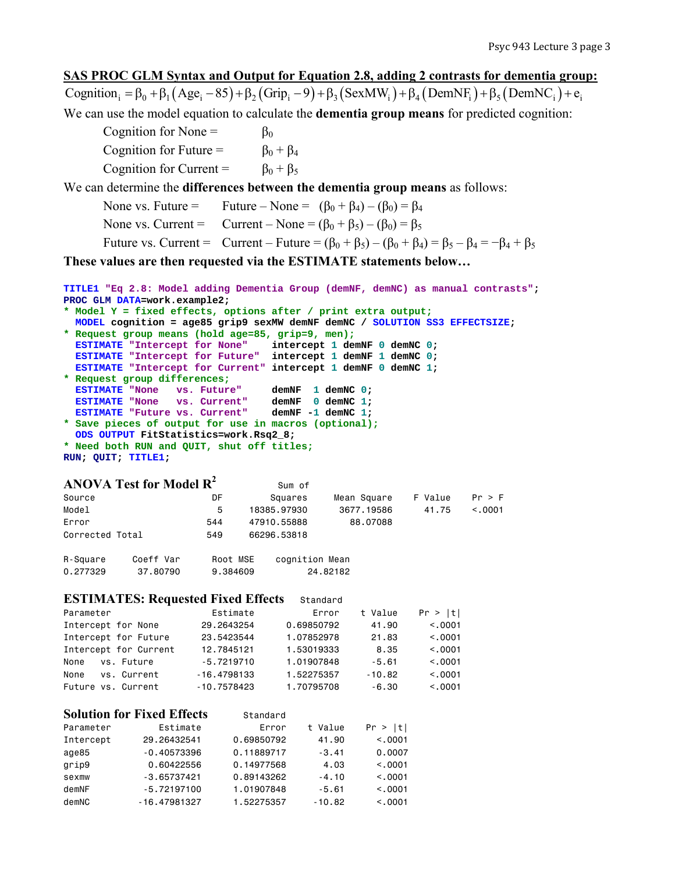## **SAS PROC GLM Syntax and Output for Equation 2.8, adding 2 contrasts for dementia group:**

Cognition  $\beta_0 = \beta_0 + \beta_1 (Age_i - 85) + \beta_2 (Grip_i - 9) + \beta_3 (SexMW_i) + \beta_4 (DemNF_i) + \beta_5 (DemNC_i) + e_i$ We can use the model equation to calculate the **dementia group means** for predicted cognition:

Cognition for None =  $\beta_0$ Cognition for Future =  $\beta_0 + \beta_4$ Cognition for Current =  $\beta_0 + \beta_5$ 

We can determine the **differences between the dementia group means** as follows:

None vs. Future = Future – None =  $(\beta_0 + \beta_4) - (\beta_0) = \beta_4$ 

None vs. Current = Current – None =  $(\beta_0 + \beta_5) - (\beta_0) = \beta_5$ 

Future vs. Current = Current – Future =  $(\beta_0 + \beta_5) - (\beta_0 + \beta_4) = \beta_5 - \beta_4 = -\beta_4 + \beta_5$ 

**These values are then requested via the ESTIMATE statements below…** 

```
TITLE1 "Eq 2.8: Model adding Dementia Group (demNF, demNC) as manual contrasts"; 
PROC GLM DATA=work.example2; 
* Model Y = fixed effects, options after / print extra output;
```
 **MODEL cognition = age85 grip9 sexMW demNF demNC / SOLUTION SS3 EFFECTSIZE; \* Request group means (hold age=85, grip=9, men); ESTIMATE "Intercept for None" intercept 1 demNF 0 demNC 0; ESTIMATE "Intercept for Future" intercept 1 demNF 1 demNC 0; ESTIMATE "Intercept for Current" intercept 1 demNF 0 demNC 1; \* Request group differences; ESTIMATE "None vs. Future" demNF 1 demNC 0; ESTIMATE "None vs. Current" demNF 0 demNC 1; ESTIMATE "Future vs. Current" demNF -1 demNC 1; \* Save pieces of output for use in macros (optional); ODS OUTPUT FitStatistics=work.Rsq2\_8;** 

**\* Need both RUN and QUIT, shut off titles; RUN; QUIT; TITLE1;** 

## **ANOVA Test for Model**  $\mathbb{R}^2$  Sum of

|                 | THE R PLATE TO PER THE THE R PLATE. |          | vulli vi       |             |         |         |
|-----------------|-------------------------------------|----------|----------------|-------------|---------|---------|
| Source          |                                     | DF       | Squares        | Mean Square | F Value | Pr > F  |
| Model           |                                     | 5        | 18385.97930    | 3677, 19586 | 41.75   | < 0.001 |
| Error           |                                     | 544      | 47910.55888    | 88,07088    |         |         |
| Corrected Total |                                     | 549      | 66296.53818    |             |         |         |
| R-Square        | Coeff Var                           | Root MSE | cognition Mean |             |         |         |
| 0.277329        | 37.80790                            | 9.384609 |                | 24.82182    |         |         |

#### **ESTIMATES: Requested Fixed Effects** Standard

| Parameter             | Estimate      | Error      | t Value  | Pr >  t |
|-----------------------|---------------|------------|----------|---------|
| Intercept for None    | 29,2643254    | 0.69850792 | 41.90    | < 0.001 |
| Intercept for Future  | 23.5423544    | 1.07852978 | 21.83    | < 0.001 |
| Intercept for Current | 12,7845121    | 1.53019333 | 8.35     | < 0.001 |
| vs. Future<br>None    | $-5.7219710$  | 1.01907848 | $-5.61$  | < 0.001 |
| vs. Current<br>None   | $-16.4798133$ | 1.52275357 | $-10.82$ | < 0.001 |
| Future vs. Current    | $-10.7578423$ | 1.70795708 | $-6.30$  | < 0.001 |

#### **Solution for Fixed Effects** Standard

| Parameter | Estimate       | Error      | t Value  | Pr >  t  |
|-----------|----------------|------------|----------|----------|
| Intercept | 29,26432541    | 0.69850792 | 41.90    | < 0.0001 |
| age85     | $-0.40573396$  | 0.11889717 | $-3.41$  | 0.0007   |
| grip9     | 0.60422556     | 0.14977568 | 4.03     | < 0.0001 |
| sexmw     | $-3.65737421$  | 0.89143262 | $-4.10$  | < 0.0001 |
| demNF     | $-5.72197100$  | 1.01907848 | $-5.61$  | < 0.0001 |
| demNC     | $-16.47981327$ | 1.52275357 | $-10.82$ | < 0.0001 |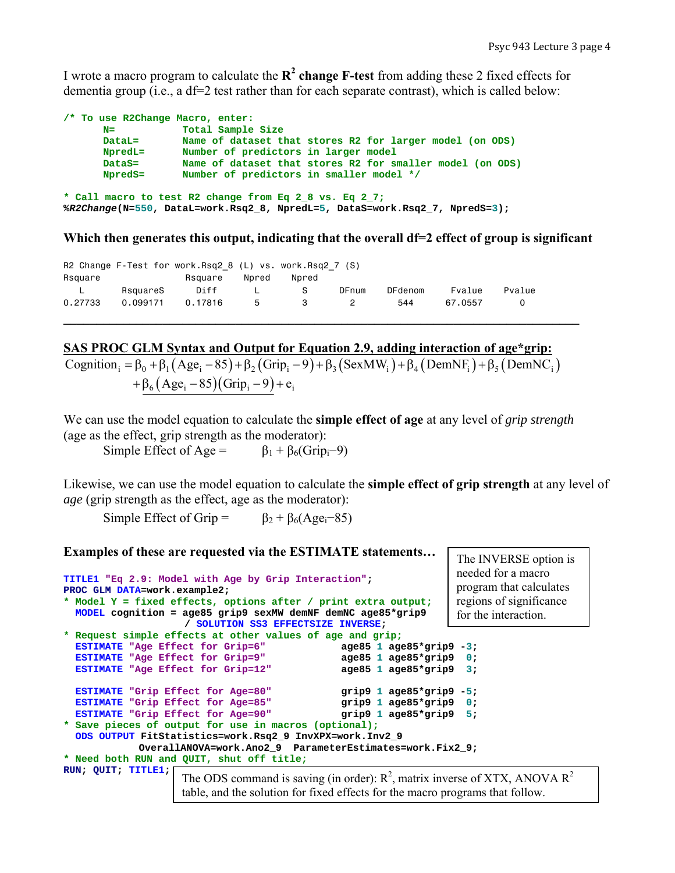I wrote a macro program to calculate the  $\mathbb{R}^2$  change **F-test** from adding these 2 fixed effects for dementia group (i.e., a df=2 test rather than for each separate contrast), which is called below:

| /* To use R2Change Macro, enter: |                                                                             |
|----------------------------------|-----------------------------------------------------------------------------|
| $N =$                            | Total Sample Size                                                           |
| DataL=                           | Name of dataset that stores R2 for larger model (on ODS)                    |
| NpredL=                          | Number of predictors in larger model                                        |
| $\mathtt{Datas}=$                | Name of dataset that stores R2 for smaller model (on ODS)                   |
| NpredS=                          | Number of predictors in smaller model */                                    |
|                                  |                                                                             |
|                                  | * Call macro to test R2 change from Eq 2 8 vs. Eq 2 7;                      |
|                                  | %R2Change(N=550, DataL=work.Rsq2 8, NpredL=5, DataS=work.Rsq2 7, NpredS=3); |

## Which then generates this output, indicating that the overall df=2 effect of group is significant

|         |          | R2 Change F-Test for work.Rsq2 8 (L) vs. work.Rsq2 7 (S) |       |       |       |                |         |        |  |
|---------|----------|----------------------------------------------------------|-------|-------|-------|----------------|---------|--------|--|
| Rsquare |          | Rsquare                                                  | Npred | Npred |       |                |         |        |  |
| L       | RsquareS | Diff                                                     |       |       | DFnum | <b>DFdenom</b> | Fvalue  | Pvalue |  |
| 0.27733 | 0.099171 | 0.17816                                                  | 5     | 3     | 2     | 544            | 67.0557 |        |  |
|         |          |                                                          |       |       |       |                |         |        |  |

## **SAS PROC GLM Syntax and Output for Equation 2.9, adding interaction of age\*grip:**

Cognition<sub>i</sub> =  $\beta_0$  +  $\beta_1$  (Age<sub>i</sub> - 85) +  $\beta_2$  (Grip<sub>i</sub> - 9) +  $\beta_3$  (SexMW<sub>i</sub>) +  $\beta_4$  (DemNF<sub>i</sub>) +  $\beta_5$  (DemNC<sub>i</sub>)  $+\beta_6(Age_i - 85)(Grip_i - 9) + e_i$ 

We can use the model equation to calculate the **simple effect of age** at any level of *grip strength* (age as the effect, grip strength as the moderator):

Simple Effect of Age =  $\beta_1 + \beta_6$ (Grip<sub>i</sub>–9)

Likewise, we can use the model equation to calculate the **simple effect of grip strength** at any level of *age* (grip strength as the effect, age as the moderator):

Simple Effect of Grip =  $\beta_2 + \beta_6(Age_i-85)$ 

|                                                                                                                                                                                                                                                                                                                                                                                    | Examples of these are requested via the ESTIMATE statements                                                                                                       |                              | The INVERSE option is |  |  |  |
|------------------------------------------------------------------------------------------------------------------------------------------------------------------------------------------------------------------------------------------------------------------------------------------------------------------------------------------------------------------------------------|-------------------------------------------------------------------------------------------------------------------------------------------------------------------|------------------------------|-----------------------|--|--|--|
| TITLE1 "Eq 2.9: Model with Age by Grip Interaction";<br>PROC GLM DATA=work.example2;<br>* Model Y = fixed effects, options after / print extra output;<br>MODEL cognition = age85 grip9 sexMW demNF demNC age85*grip9                                                                                                                                                              | needed for a macro<br>program that calculates<br>regions of significance<br>for the interaction.                                                                  |                              |                       |  |  |  |
|                                                                                                                                                                                                                                                                                                                                                                                    | * Request simple effects at other values of age and grip;                                                                                                         |                              |                       |  |  |  |
| ESTIMATE "Age Effect for Grip=6"                                                                                                                                                                                                                                                                                                                                                   |                                                                                                                                                                   | age85 $1$ age85*grip9 $-3$ ; |                       |  |  |  |
| ESTIMATE "Age Effect for Grip=9"                                                                                                                                                                                                                                                                                                                                                   |                                                                                                                                                                   | age85 $1$ age85*grip9 $0$ ;  |                       |  |  |  |
| ESTIMATE "Age Effect for Grip=12"                                                                                                                                                                                                                                                                                                                                                  |                                                                                                                                                                   | age85 $1$ age85*grip9 $3$ ;  |                       |  |  |  |
| ESTIMATE "Grip Effect for Age=80"<br>grip $9$ 1 age $85*$ grip $9$ - $5$ ;<br>ESTIMATE "Grip Effect for Age=85" grip9 1 age85*grip9 0;<br>ESTIMATE "Grip Effect for Age=90" grip9 1 age85*grip9 5;<br>* Save pieces of output for use in macros (optional);<br>ODS OUTPUT FitStatistics=work.Rsq2_9 InvXPX=work.Inv2_9<br>OverallANOVA=work.Ano2 9 ParameterEstimates=work.Fix2 9; |                                                                                                                                                                   |                              |                       |  |  |  |
|                                                                                                                                                                                                                                                                                                                                                                                    | * Need both RUN and QUIT, shut off title;                                                                                                                         |                              |                       |  |  |  |
| RUN; QUIT; TITLE1;                                                                                                                                                                                                                                                                                                                                                                 | The ODS command is saving (in order): $R^2$ , matrix inverse of XTX, ANOVA $R^2$<br>table, and the solution for fixed effects for the macro programs that follow. |                              |                       |  |  |  |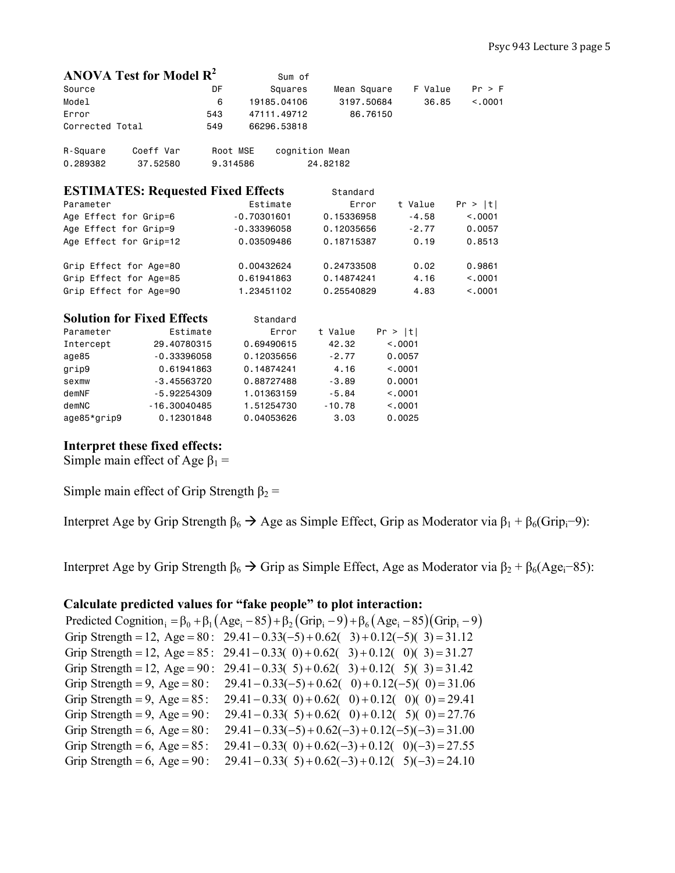| ANOVA Test for Model $R^2$                |                |          |               | Sum of         |          |            |             |         |         |         |
|-------------------------------------------|----------------|----------|---------------|----------------|----------|------------|-------------|---------|---------|---------|
| Source                                    |                | DF       |               | Squares        |          |            | Mean Square |         | F Value | Pr > F  |
| Model                                     |                | 6        | 19185,04106   |                |          |            | 3197,50684  |         | 36.85   | < 0.001 |
| Error                                     |                | 543      | 47111.49712   |                |          |            | 86,76150    |         |         |         |
| Corrected Total                           |                | 549      | 66296.53818   |                |          |            |             |         |         |         |
| R-Square                                  | Coeff Var      | Root MSE |               | cognition Mean |          |            |             |         |         |         |
| 0.289382                                  | 37.52580       | 9.314586 |               |                | 24,82182 |            |             |         |         |         |
| <b>ESTIMATES: Requested Fixed Effects</b> |                |          |               |                |          | Standard   |             |         |         |         |
| Parameter                                 |                |          | Estimate      |                |          |            | Error       | t Value |         | Pr >  t |
| Age Effect for Grip=6                     |                |          | $-0.70301601$ |                |          | 0.15336958 |             |         | $-4.58$ | < 0.001 |
| Age Effect for Grip=9                     |                |          | $-0.33396058$ |                |          | 0.12035656 |             |         | $-2.77$ | 0.0057  |
| Age Effect for Grip=12                    |                |          | 0.03509486    |                |          | 0.18715387 |             |         | 0.19    | 0.8513  |
| Grip Effect for Age=80                    |                |          | 0.00432624    |                |          | 0.24733508 |             |         | 0.02    | 0.9861  |
| Grip Effect for Age=85                    |                |          | 0.61941863    |                |          | 0.14874241 |             |         | 4.16    | < 0.001 |
| Grip Effect for Age=90                    |                |          | 1.23451102    |                |          | 0.25540829 |             |         | 4.83    | < .0001 |
| <b>Solution for Fixed Effects</b>         |                |          | Standard      |                |          |            |             |         |         |         |
| Parameter                                 | Estimate       |          |               | Error          |          | t Value    |             | Pr >  t |         |         |
| Intercept                                 | 29,40780315    |          | 0.69490615    |                |          | 42.32      |             | < 0.001 |         |         |
| age85                                     | $-0.33396058$  |          | 0.12035656    |                |          | $-2.77$    |             | 0.0057  |         |         |
| grip9                                     | 0.61941863     |          | 0.14874241    |                |          | 4.16       |             | < 0.001 |         |         |
| sexmw                                     | $-3.45563720$  |          | 0.88727488    |                |          | $-3.89$    |             | 0.0001  |         |         |
| demNF                                     | $-5.92254309$  |          | 1.01363159    |                |          | $-5.84$    |             | < 0.001 |         |         |
| demNC                                     | $-16.30040485$ |          | 1.51254730    |                |          | $-10.78$   |             | < 0.001 |         |         |
| age85*grip9                               | 0.12301848     |          | 0.04053626    |                |          | 3.03       |             | 0.0025  |         |         |

# **Interpret these fixed effects:**

Simple main effect of Age  $\beta_1$  =

Simple main effect of Grip Strength  $\beta_2$  =

Interpret Age by Grip Strength  $\beta_6 \rightarrow$  Age as Simple Effect, Grip as Moderator via  $\beta_1 + \beta_6$ (Grip<sub>i</sub>−9):

Interpret Age by Grip Strength  $\beta_6 \rightarrow$  Grip as Simple Effect, Age as Moderator via  $\beta_2 + \beta_6$ (Age<sub>i</sub>–85):

# **Calculate predicted values for "fake people" to plot interaction:**

|                                    | Predicted Cognition <sub>i</sub> = $\beta_0 + \beta_1(Age_i - 85) + \beta_2(Grip_i - 9) + \beta_6(Age_i - 85)(Grip_i - 9)$ |
|------------------------------------|----------------------------------------------------------------------------------------------------------------------------|
|                                    | Grip Strength = 12, Age = 80: $29.41 - 0.33(-5) + 0.62(-3) + 0.12(-5)(3) = 31.12$                                          |
|                                    | Grip Strength = 12, Age = 85: 29.41 - 0.33(0) + 0.62(3) + 0.12(0)(3) = 31.27                                               |
|                                    | Grip Strength = 12, Age = 90: 29.41 - 0.33( 5) + 0.62( 3) + 0.12( 5)(3) = 31.42                                            |
| Grip Strength = 9, Age = $80$ :    | $29.41 - 0.33(-5) + 0.62(-0) + 0.12(-5)(0) = 31.06$                                                                        |
| Grip Strength = 9, Age = $85$ :    | $29.41 - 0.33(0) + 0.62(0) + 0.12(0)(0) = 29.41$                                                                           |
| Grip Strength = 9, Age = $90$ :    | $29.41 - 0.33(5) + 0.62(0) + 0.12(5)(0) = 27.76$                                                                           |
| Grip Strength = $6$ , Age = $80$ : | $29.41 - 0.33(-5) + 0.62(-3) + 0.12(-5)(-3) = 31.00$                                                                       |
| Grip Strength = $6$ , Age = $85$ : | $29.41 - 0.33(0) + 0.62(-3) + 0.12(0)(-3) = 27.55$                                                                         |
| Grip Strength = $6$ , Age = $90$ : | $29.41 - 0.33(5) + 0.62(-3) + 0.12(5)(-3) = 24.10$                                                                         |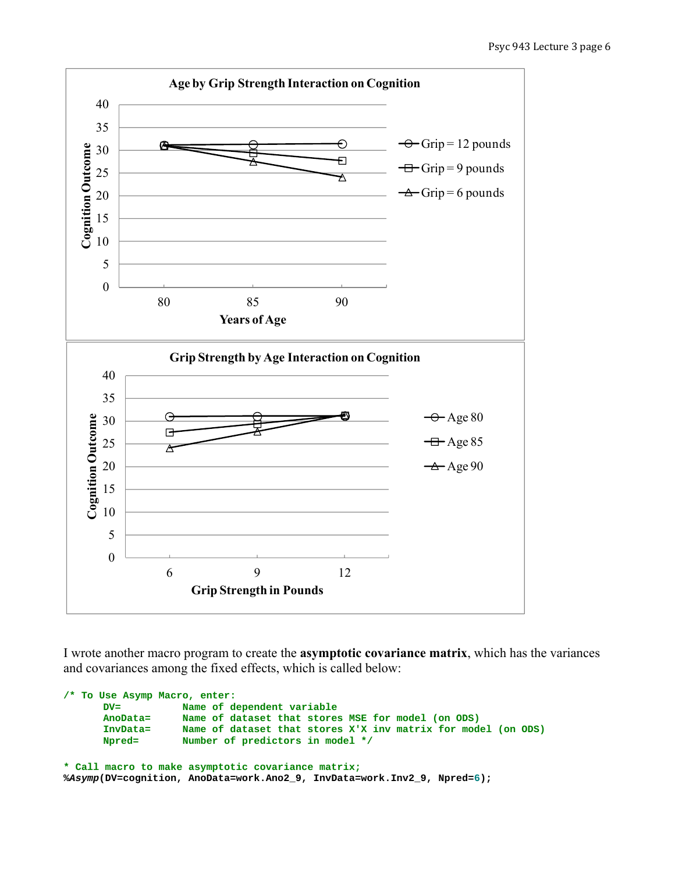

I wrote another macro program to create the **asymptotic covariance matrix**, which has the variances and covariances among the fixed effects, which is called below:

```
/* To Use Asymp Macro, enter: 
       DV= Name of dependent variable 
       AnoData= Name of dataset that stores MSE for model (on ODS) 
       InvData= Name of dataset that stores X'X inv matrix for model (on ODS) 
       Npred= Number of predictors in model */
* Call macro to make asymptotic covariance matrix;
%Asymp(DV=cognition, AnoData=work.Ano2_9, InvData=work.Inv2_9, Npred=6);
```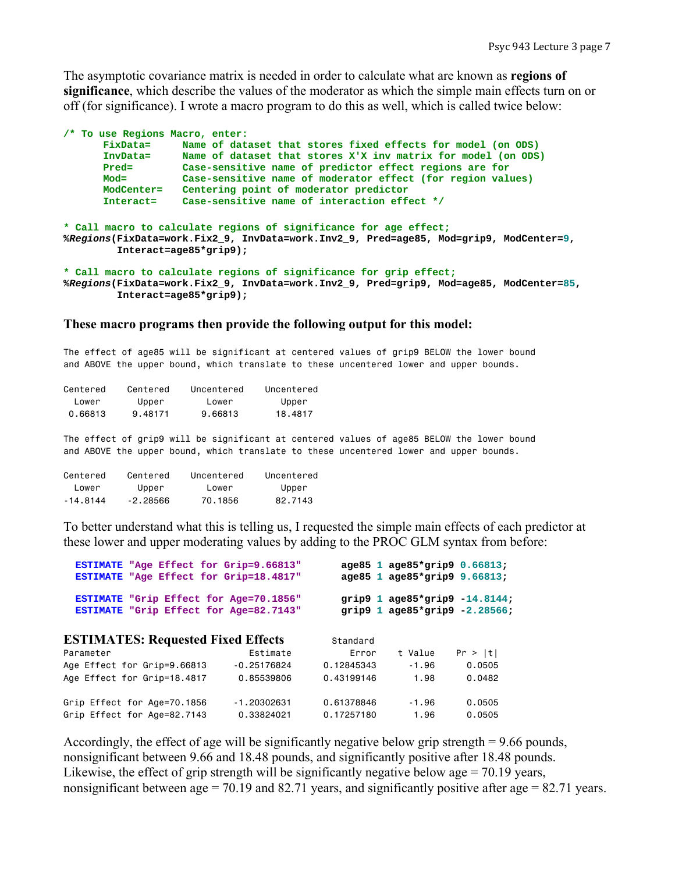The asymptotic covariance matrix is needed in order to calculate what are known as **regions of significance**, which describe the values of the moderator as which the simple main effects turn on or off (for significance). I wrote a macro program to do this as well, which is called twice below:

|                                                                                                                                                                                           | /* To use Regions Macro, enter: |                                                                                                                                                               |  |  |
|-------------------------------------------------------------------------------------------------------------------------------------------------------------------------------------------|---------------------------------|---------------------------------------------------------------------------------------------------------------------------------------------------------------|--|--|
|                                                                                                                                                                                           | FixData=                        | Name of dataset that stores fixed effects for model (on ODS)                                                                                                  |  |  |
|                                                                                                                                                                                           | InvData=                        | Name of dataset that stores X'X inv matrix for model (on ODS)                                                                                                 |  |  |
|                                                                                                                                                                                           | Pred=                           | Case-sensitive name of predictor effect regions are for                                                                                                       |  |  |
|                                                                                                                                                                                           | $Mod =$                         | Case-sensitive name of moderator effect (for region values)                                                                                                   |  |  |
|                                                                                                                                                                                           | ModCenter=                      | Centering point of moderator predictor                                                                                                                        |  |  |
|                                                                                                                                                                                           | Interact=                       | Case-sensitive name of interaction effect */                                                                                                                  |  |  |
| * Call macro to calculate regions of significance for age effect;<br>%Regions(FixData=work.Fix2_9, InvData=work.Inv2_9, Pred=age85, Mod=grip9, ModCenter=9,<br>$Interact = age85*grip9);$ |                                 |                                                                                                                                                               |  |  |
|                                                                                                                                                                                           |                                 | * Call macro to calculate regions of significance for grip effect;<br>%Regions(FixData=work.Fix2 9, InvData=work.Inv2 9, Pred=grip9, Mod=age85, ModCenter=85, |  |  |

```
 Interact=age85*grip9);
```
#### **These macro programs then provide the following output for this model:**

The effect of age85 will be significant at centered values of grip9 BELOW the lower bound and ABOVE the upper bound, which translate to these uncentered lower and upper bounds.

| Centered | Centered | Uncentered | Uncentered |
|----------|----------|------------|------------|
| lower    | Upper    | lower      | Upper      |
| 0.66813  | 9.48171  | 9.66813    | 18.4817    |

The effect of grip9 will be significant at centered values of age85 BELOW the lower bound and ABOVE the upper bound, which translate to these uncentered lower and upper bounds.

| Centered | Centered   | Uncentered | Uncentered |
|----------|------------|------------|------------|
| lower    | Upper      | lower      | Upper      |
| -14.8144 | $-2.28566$ | 70.1856    | 82.7143    |

To better understand what this is telling us, I requested the simple main effects of each predictor at these lower and upper moderating values by adding to the PROC GLM syntax from before:

| ESTIMATE "Age Effect for Grip=9.66813"<br>ESTIMATE "Age Effect for Grip=18.4817" |               |            |         | age85 1 age85*grip9 0.66813;<br>age85 1 age85*grip9 9.66813;          |  |
|----------------------------------------------------------------------------------|---------------|------------|---------|-----------------------------------------------------------------------|--|
| ESTIMATE "Grip Effect for Age=70.1856"<br>ESTIMATE "Grip Effect for Age=82.7143" |               |            |         | grip9 $1$ age85*grip9 $-14.8144$ ;<br>grip9 $1$ age85*grip9 -2.28566; |  |
| <b>ESTIMATES: Requested Fixed Effects</b>                                        |               | Standard   |         |                                                                       |  |
| Parameter                                                                        | Estimate      | Error      | t Value | Pr >  t                                                               |  |
| Age Effect for Grip=9.66813                                                      | $-0.25176824$ | 0.12845343 | $-1.96$ | 0.0505                                                                |  |
| Age Effect for Grip=18.4817                                                      | 0.85539806    | 0.43199146 | 1.98    | 0.0482                                                                |  |
| Grip Effect for Age=70.1856                                                      | $-1.20302631$ | 0.61378846 | $-1.96$ | 0.0505                                                                |  |
| Grip Effect for Age=82.7143                                                      | 0.33824021    | 0.17257180 | 1.96    | 0.0505                                                                |  |
|                                                                                  |               |            |         |                                                                       |  |

Accordingly, the effect of age will be significantly negative below grip strength = 9.66 pounds, nonsignificant between 9.66 and 18.48 pounds, and significantly positive after 18.48 pounds. Likewise, the effect of grip strength will be significantly negative below age  $= 70.19$  years, nonsignificant between age = 70.19 and 82.71 years, and significantly positive after age =  $82.71$  years.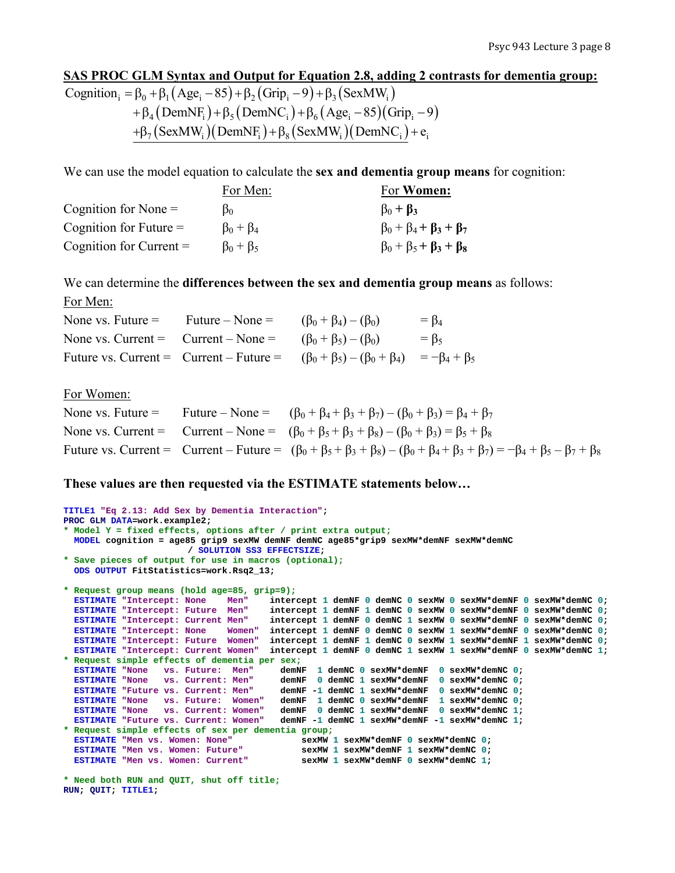## **SAS PROC GLM Syntax and Output for Equation 2.8, adding 2 contrasts for dementia group:**

Cognition<sub>i</sub> =  $\beta_0 + \beta_1 (Age_i - 85) + \beta_2 (Grip_i - 9) + \beta_3 (SexMW_i)$  $+ \beta_4 (DemNF_i) + \beta_5 (DemNC_i) + \beta_6 (Age_i - 85) (Grip_i - 9)$  $+\beta_7 (SexMW_i)( DemNF_i)+\beta_8 (SexMW_i)(DemNC_i)+e_i$ 

We can use the model equation to calculate the **sex and dementia group means** for cognition:

|                           | For Men:            | For Women:                              |
|---------------------------|---------------------|-----------------------------------------|
| Cognition for None $=$    | B٥                  | $\beta_0 + \beta_3$                     |
| Cognition for Future $=$  | $\beta_0 + \beta_4$ | $\beta_0 + \beta_4 + \beta_3 + \beta_7$ |
| Cognition for Current $=$ | $\beta_0 + \beta_5$ | $\beta_0 + \beta_5 + \beta_3 + \beta_8$ |

We can determine the **differences between the sex and dementia group means** as follows: For Men:

| None vs. Future $=$ | Future – None $=$                                                     | $(\beta_0 + \beta_4) - (\beta_0)$                                                                        | $= \beta_4$ |
|---------------------|-----------------------------------------------------------------------|----------------------------------------------------------------------------------------------------------|-------------|
|                     | None vs. Current = Current – None = $(\beta_0 + \beta_5) - (\beta_0)$ |                                                                                                          | $=$ $\beta$ |
|                     |                                                                       | Future vs. Current = Current – Future = $(\beta_0 + \beta_5) - (\beta_0 + \beta_4) = -\beta_4 + \beta_5$ |             |

For Women:

|  | None vs. Future = Future – None = $(\beta_0 + \beta_4 + \beta_3 + \beta_7) - (\beta_0 + \beta_3) = \beta_4 + \beta_7$                                                |
|--|----------------------------------------------------------------------------------------------------------------------------------------------------------------------|
|  | None vs. Current = Current – None = $(\beta_0 + \beta_5 + \beta_3 + \beta_8) - (\beta_0 + \beta_3) = \beta_5 + \beta_8$                                              |
|  | Future vs. Current = Current – Future = $(\beta_0 + \beta_5 + \beta_3 + \beta_8) - (\beta_0 + \beta_4 + \beta_3 + \beta_7) = -\beta_4 + \beta_5 - \beta_7 + \beta_8$ |

## **These values are then requested via the ESTIMATE statements below…**

```
TITLE1 "Eq 2.13: Add Sex by Dementia Interaction"; 
PROC GLM DATA=work.example2; 
* Model Y = fixed effects, options after / print extra output;
  MODEL cognition = age85 grip9 sexMW demNF demNC age85*grip9 sexMW*demNF sexMW*demNC 
                      / SOLUTION SS3 EFFECTSIZE; 
* Save pieces of output for use in macros (optional);
  ODS OUTPUT FitStatistics=work.Rsq2_13; 
* Request group means (hold age=85, grip=9);
 ESTIMATE "Intercept: None Men" intercept 1 demNF 0 demNC 0 sexMW 0 sexMW*demNF 0 sexMW*demNC 0; 
 ESTIMATE "Intercept: Future Men" intercept 1 demNF 1 demNC 0 sexMW 0 sexMW*demNF 0 sexMW*demNC 0; 
  ESTIMATE "Intercept: Current Men" intercept 1 demNF 0 demNC 1 sexMW 0 sexMW*demNF 0 sexMW*demNC 0; 
  ESTIMATE "Intercept: None Women" intercept 1 demNF 0 demNC 0 sexMW 1 sexMW*demNF 0 sexMW*demNC 0; 
 ESTIMATE "Intercept: Future Women" intercept 1 demNF 1 demNC 0 sexMW 1 sexMW*demNF 1 sexMW*demNC 0; 
 ESTIMATE "Intercept: Current Women" intercept 1 demNF 0 demNC 1 sexMW 1 sexMW*demNF 0 sexMW*demNC 1; 
* Request simple effects of dementia per sex;
 ESTIMATE "None vs. Future: Men" demNF 1 demNC 0 sexMW*demNF 0 sexMW*demNC 0; 
 ESTIMATE "None vs. Current: Men" demNF 0 demNC 1 sexMW*demNF 0 sexMW*demNC 0; 
  ESTIMATE "Future vs. Current: Men" demNF -1 demNC 1 sexMW*demNF 0 sexMW*demNC 0; 
  ESTIMATE "None vs. Future: Women" demNF 1 demNC 0 sexMW*demNF 1 sexMW*demNC 0; 
 ESTIMATE "None vs. Current: Women" demNF 0 demNC 1 sexMW*demNF 0 sexMW*demNC 1; 
 ESTIMATE "Future vs. Current: Women" demNF -1 demNC 1 sexMW*demNF -1 sexMW*demNC 1; 
* Request simple effects of sex per dementia group;
 ESTIMATE "Men vs. Women: None" sexMW 1 sexMW*demNF 0 sexMW*demNC 0; 
 ESTIMATE "Men vs. Women: Future" sexMW 1 sexMW*demNF 1 sexMW*demNC 0; 
 ESTIMATE "Men vs. Women: Current" sexMW 1 sexMW*demNF 0 sexMW*demNC 1;
```

```
* Need both RUN and QUIT, shut off title; 
RUN; QUIT; TITLE1;
```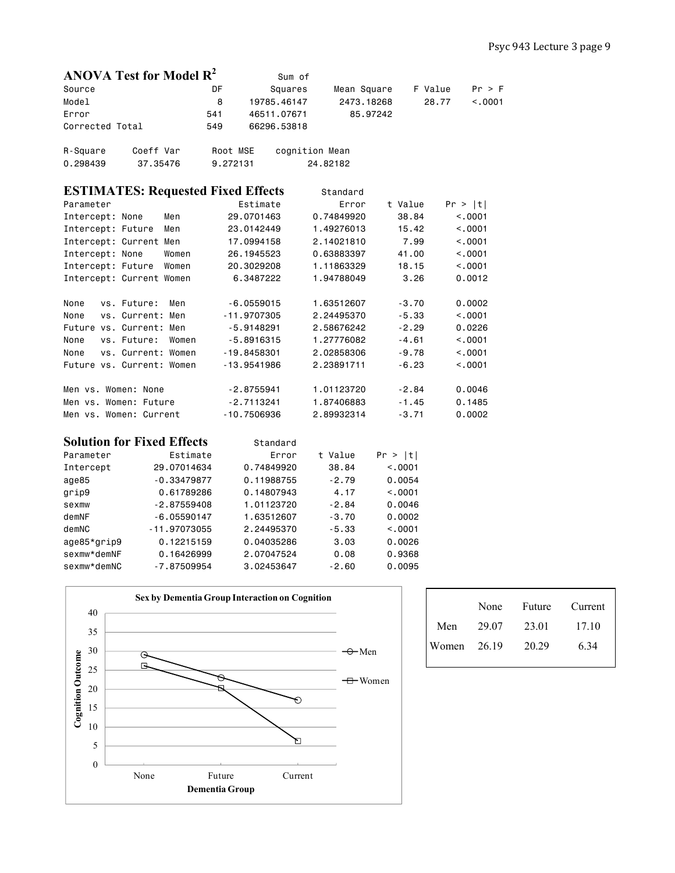| ANOVA Test for Model $R^2$                |               | Sum of       |                |         |                  |
|-------------------------------------------|---------------|--------------|----------------|---------|------------------|
| Source                                    | DF            | Squares      | Mean Square    | F Value | Pr > F           |
| Model                                     | 8             | 19785.46147  | 2473.18268     |         | 28.77<br>< 0.001 |
| Error                                     | 541           | 46511.07671  | 85,97242       |         |                  |
| Corrected Total                           | 549           | 66296.53818  |                |         |                  |
| Coeff Var<br>R-Square                     | Root MSE      |              | cognition Mean |         |                  |
| 0.298439<br>37,35476                      | 9.272131      |              | 24,82182       |         |                  |
| <b>ESTIMATES: Requested Fixed Effects</b> |               |              | Standard       |         |                  |
| Parameter                                 |               | Estimate     | Error          | t Value | Pr >  t          |
| Intercept: None<br>Men                    |               | 29,0701463   | 0.74849920     | 38.84   | < 0.001          |
| Intercept: Future<br>Men                  |               | 23,0142449   | 1.49276013     | 15.42   | < .0001          |
| Intercept: Current Men                    |               | 17,0994158   | 2.14021810     | 7.99    | < 0.001          |
| Intercept: None<br>Women                  |               | 26, 1945523  | 0.63883397     | 41.00   | < 0.001          |
| Intercept: Future<br>Women                |               | 20,3029208   | 1.11863329     | 18.15   | < 0.001          |
| Intercept: Current Women                  |               | 6.3487222    | 1.94788049     | 3.26    | 0.0012           |
| None<br>vs. Future:<br>Men                |               | $-6.0559015$ | 1.63512607     | $-3.70$ | 0.0002           |
| vs. Current: Men<br>None                  | $-11.9707305$ |              | 2.24495370     | $-5.33$ | < 0.001          |
| Future vs. Current: Men                   |               | $-5.9148291$ | 2.58676242     | $-2.29$ | 0.0226           |
| vs. Future:<br>None<br>Women              |               | $-5.8916315$ | 1.27776082     | $-4.61$ | < 0.001          |
| None<br>vs. Current: Women                | $-19.8458301$ |              | 2.02858306     | $-9.78$ | < 0.001          |
| Future vs. Current: Women                 | $-13,9541986$ |              | 2.23891711     | $-6.23$ | < 0.001          |
| Men vs. Women: None                       |               | $-2.8755941$ | 1.01123720     | $-2.84$ | 0.0046           |
| Men vs. Women: Future                     |               | $-2.7113241$ | 1.87406883     | $-1.45$ | 0.1485           |
| Men vs. Women: Current                    | $-10.7506936$ |              | 2.89932314     | $-3.71$ | 0.0002           |

|             | <b>Solution for Fixed Effects</b> | Standard   |         |         |
|-------------|-----------------------------------|------------|---------|---------|
| Parameter   | Estimate                          | Error      | t Value | Pr >  t |
| Intercept   | 29.07014634                       | 0.74849920 | 38.84   | < 0.001 |
| age85       | $-0.33479877$                     | 0.11988755 | $-2.79$ | 0.0054  |
| grip9       | 0.61789286                        | 0.14807943 | 4.17    | < 0.001 |
| sexmw       | $-2.87559408$                     | 1.01123720 | $-2.84$ | 0.0046  |
| demNF       | $-6.05590147$                     | 1.63512607 | $-3.70$ | 0.0002  |
| demNC       | $-11.97073055$                    | 2.24495370 | $-5.33$ | < 0.001 |
| age85*grip9 | 0.12215159                        | 0.04035286 | 3.03    | 0.0026  |
| sexmw*demNF | 0.16426999                        | 2.07047524 | 0.08    | 0.9368  |
| sexmw*demNC | $-7.87509954$                     | 3.02453647 | $-2.60$ | 0.0095  |



|               | None  | Future | Current |
|---------------|-------|--------|---------|
| Men           | 29.07 | 23.01  | 17.10   |
| Women $26.19$ |       | 20 29  | 6.34    |
|               |       |        |         |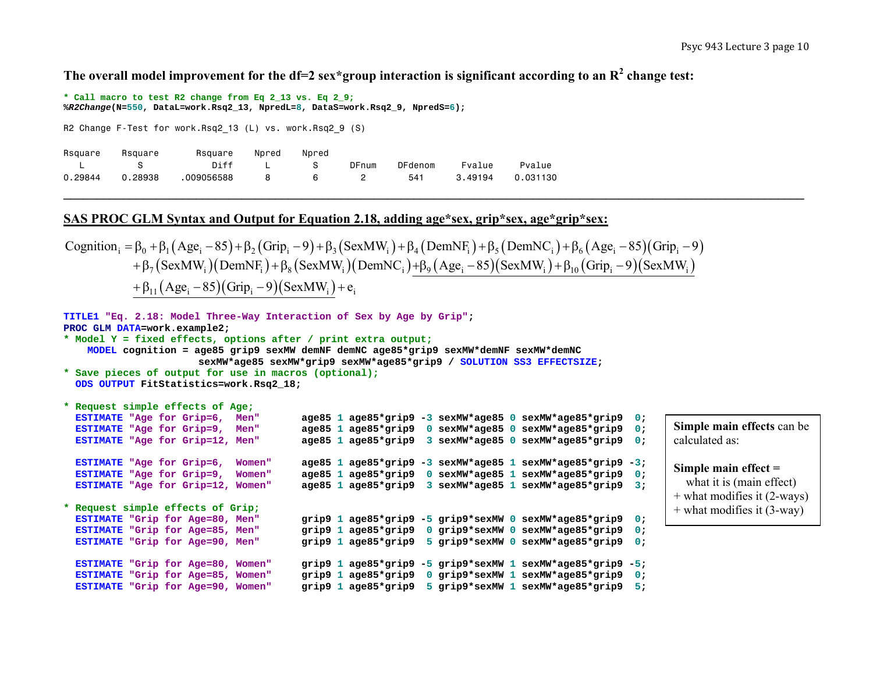**The overall model improvement for the df=2 sex\*group interaction is significant according to an R2 change test:** 

**\* Call macro to test R2 change from Eq 2\_13 vs. Eq 2\_9; %***R2Change***(N=550, DataL=work.Rsq2\_13, NpredL=8, DataS=work.Rsq2\_9, NpredS=6);** 

R2 Change F-Test for work.Rsq2 13 (L) vs. work.Rsq2 9 (S)

| Rsquare | Rsquare | Rsquare    | Npred | Npred |       |         |         |          |
|---------|---------|------------|-------|-------|-------|---------|---------|----------|
|         |         | Diff       |       |       | DFnum | DFdenom | Fvalue  | Pvalue   |
| 0.29844 | 0.28938 | .009056588 |       | 6     |       | 541     | 3.49194 | 0.031130 |

#### **SAS PROC GLM Syntax and Output for Equation 2.18, adding age\*sex, grip\*sex, age\*grip\*sex:**

Cognition<sub>i</sub> =  $\beta_0 + \beta_1 (Age_i - 85) + \beta_2 (Grip_i - 9) + \beta_3 (SexMW_i) + \beta_4 (DemNF_i) + \beta_5 (DemNC_i) + \beta_6 (Age_i - 85) (Grip_i - 9)$  $+ \beta_7 (SexMW_i)(DemNF_i)+\beta_8 (SexMW_i)(DemNC_i)+\beta_9 (Age_i-85)(SexMW_i)+\beta_{10} (Grip_i-9)(SexMW_i)$  $+ \beta_{11} (Age_i - 85) (Grip_i - 9) (SexMW_i) + e_i$ 

```
TITLE1 "Eq. 2.18: Model Three-Way Interaction of Sex by Age by Grip"; 
PROC GLM DATA=work.example2; 
* Model Y = fixed effects, options after / print extra output;
    MODEL cognition = age85 grip9 sexMW demNF demNC age85*grip9 sexMW*demNF sexMW*demNC 
                           sexMW*age85 sexMW*grip9 sexMW*age85*grip9 / SOLUTION SS3 EFFECTSIZE; 
* Save pieces of output for use in macros (optional);
  ODS OUTPUT FitStatistics=work.Rsq2_18; 
* Request simple effects of Age;
  ESTIMATE "Age for Grip=6. Men"
                                                "Age for Grip=6, Men" age85 1 age85*grip9 -3 sexMW*age85 0 sexMW*age85*grip9 0; 
  ESTIMATE "Age for Grip=9, Men"
                                                "Age for Grip=9, Men" age85 1 age85*grip9 0 sexMW*age85 0 sexMW*age85*grip9 0; 
  ESTIMATE "Age for Grip=12, Men"
                                                "Age for Grip=12, Men" age85 1 age85*grip9 3 sexMW*age85 0 sexMW*age85*grip9 0; 
  ESTIMATE "Age for Grip=6, Women"
                                               "Age for Grip=6, Women" age85 1 age85*grip9 -3 sexMW*age85 1 sexMW*age85*grip9 -3; 
  ESTIMATE "Age for Grip=9, Women"
                                                "Age for Grip=9, Women" age85 1 age85*grip9 0 sexMW*age85 1 sexMW*age85*grip9 0; 
  ESTIMATE "Age for Grip=12, Women"
                                               "Age for Grip=12, Women" age85 1 age85*grip9 3 sexMW*age85 1 sexMW*age85*grip9 3; 
* Request simple effects of Grip;
  ESTIMATE "Grip for Age=80, Men"
                                               "Grip for Age=80, Men" grip9 1 age85*grip9 -5 grip9*sexMW 0 sexMW*age85*grip9 0; 
  ESTIMATE "Grip for Age=85, Men"
                                               "Grip for Age=85, Men" grip9 1 age85*grip9 0 grip9*sexMW 0 sexMW*age85*grip9 0; 
  ESTIMATE "Grip for Age=90, Men"
                                               "Grip for Age=90, Men" grip9 1 age85*grip9 5 grip9*sexMW 0 sexMW*age85*grip9 0; 
  ESTIMATE "Grip for Age=80, Women"
                                              grip <sup>1</sup> age85*grip9 -5 grip9*sexMW 1 sexMW*age85*grip9 -5;
  ESTIMATE "Grip for Age=85, Women"
                                              grip 91 age85*grip9 0 grip9*sexMW 1 sexMW*age85*grip9 0;
  ESTIMATE "Grip for Age=90, Women"
                                               "Grip for Age=90, Women" grip9 1 age85*grip9 5 grip9*sexMW 1 sexMW*age85*grip9 5; 
                                                                                                                        Simple main effects can be 
                                                                                                                        calculated as: Simple main effect = 
                                                                                                                           what it is (main effect) 
                                                                                                                        + what modifies it (2-ways) 
                                                                                                                        + what modifies it (3-way)
```
**\_\_\_\_\_\_\_\_\_\_\_\_\_\_\_\_\_\_\_\_\_\_\_\_\_\_\_\_\_\_\_\_\_\_\_\_\_\_\_\_\_\_\_\_\_\_\_\_\_\_\_\_\_\_\_\_\_\_\_\_\_\_\_\_\_\_\_\_\_\_\_\_\_\_\_\_\_\_\_\_\_\_\_\_\_\_\_\_\_\_\_\_\_\_\_\_\_\_\_\_\_\_\_\_\_\_\_\_\_\_\_\_**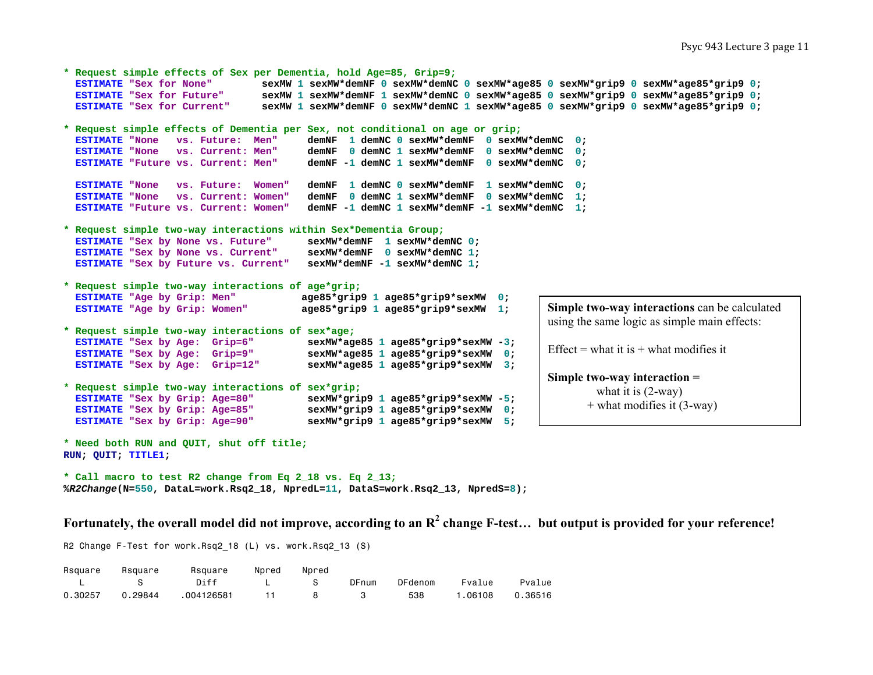```
* Request simple effects of Sex per Dementia, hold Age=85, Grip=9;
  ESTIMATE "Sex for None" sexMW 1 sexMW*demNF 0 sexMW*demNC 0 sexMW*age85 0 sexMW*grip9 0 sexMW*age85*grip9 0; 
  ESTIMATE "Sex for Future" sexMW 1 sexMW*demNF 1 sexMW*demNC 0 sexMW*age85 0 sexMW*grip9 0 sexMW*age85*grip9 0; 
  ESTIMATE "Sex for Current" sexMW 1 sexMW*demNF 0 sexMW*demNC 1 sexMW*age85 0 sexMW*grip9 0 sexMW*age85*grip9 0; 
* Request simple effects of Dementia per Sex, not conditional on age or grip;
  ESTIMATE "None vs. Future: Men"
                                          demNF 1 demNC 0 sexMW*demNF 0 sexMW*demNC 0;
  ESTIMATE "None vs. Current: Men"
                                          demNF 0 demNC 1 sexMW*demNF 0 sexMW*demNC 0;
  ESTIMATE "Future vs. Current: Men"
                                          demNF -1 demNC 1 sexMW*demNF 0 sexMW*demNC 0;
  ESTIMATE "None vs. Future: Women"
                                          demNF 1 demNC 0 sexMW*demNF 1 sexMW*demNC 0;
  ESTIMATE "None vs. Current: Women"
                                          demNF 0 demNC 1 sexMW*demNF 0 sexMW*demNC 1;
  ESTIMATE "Future vs. Current: Women"
                                          demNF -1 demNC 1 sexMW*demNF -1 sexMW*demNC 1;
* Request simple two-way interactions within Sex*Dementia Group;
  ESTIMATE "Sex by None vs. Future"
                                          sexMW*demNF 1 sexMW*demNC 0;
  ESTIMATE "Sex by None vs. Current"
                                          sexMW*demNF 0 sexMW*demNC 1;
  ESTIMATE "Sex by Future vs. Current" sexMW*demNF -1 sexMW*demNC 1; 
* Request simple two-way interactions of age*grip;
  ESTIMATE "Age by Grip: Men"
                                          "Age by Grip: Men" age85*grip9 1 age85*grip9*sexMW 0; 
  ESTIMATE "Age by Grip: Women"
                                          "Age by Grip: Women" age85*grip9 1 age85*grip9*sexMW 1; 
* Request simple two-way interactions of sex*age;
  ESTIMATE "Sex by Age: Grip=6"
                                          sexMW*age85 1 age85*grip9*sexMW -3;
  ESTIMATE "Sex by Age: Grip=9"
                                          sexMW*age85 1 age85*grip9*sexMW 0;
  ESTIMATE "Sex by Age: Grip=12"
                                          sexMW*age85 1 age85*grip9*sexMW 3;
* Request simple two-way interactions of sex*grip;
  ESTIMATE "Sex by Grip: Age=80"
                                          SexMW*grip9 1 age85*grip9*sexMW -5;
  ESTIMATE "Sex by Grip: Age=85"
                                          sexMW*grip9 1 age85*grip9*sexMW 0;
  ESTIMATE "Sex by Grip: Age=90"
                                           "Sex by Grip: Age=90" sexMW*grip9 1 age85*grip9*sexMW 5; 
* Need both RUN and QUIT, shut off title;
RUN; QUIT; TITLE1; 
                                                                                    Simple two-way interactions can be calculated 
                                                                                     using the same logic as simple main effects: 
                                                                                     Effect = what it is + what modifies it
                                                                                     Simple two-way interaction = 
                                                                                              what it is (2-way) 
                                                                                            + what modifies it (3-way)
```
**\* Call macro to test R2 change from Eq 2\_18 vs. Eq 2\_13; %***R2Change***(N=550, DataL=work.Rsq2\_18, NpredL=11, DataS=work.Rsq2\_13, NpredS=8);** 

**Fortunately, the overall model did not improve, according to an R2 change F-test… but output is provided for your reference!**

R2 Change F-Test for work.Rsq2 18 (L) vs. work.Rsq2 13 (S)

| Rsquare | Rsquare | Rsquare Npred Npred |                   |     |              |         |           |         |
|---------|---------|---------------------|-------------------|-----|--------------|---------|-----------|---------|
|         |         | Diff                | $\sim$ 1 $\sim$ 8 |     | DFnum        | DFdenom | Fvalue    | Pvalue  |
| 0.30257 | 0.29844 | .004126581          | $\overline{11}$   | - 8 | $\mathbf{3}$ | 538     | 06108 ، ، | 0.36516 |